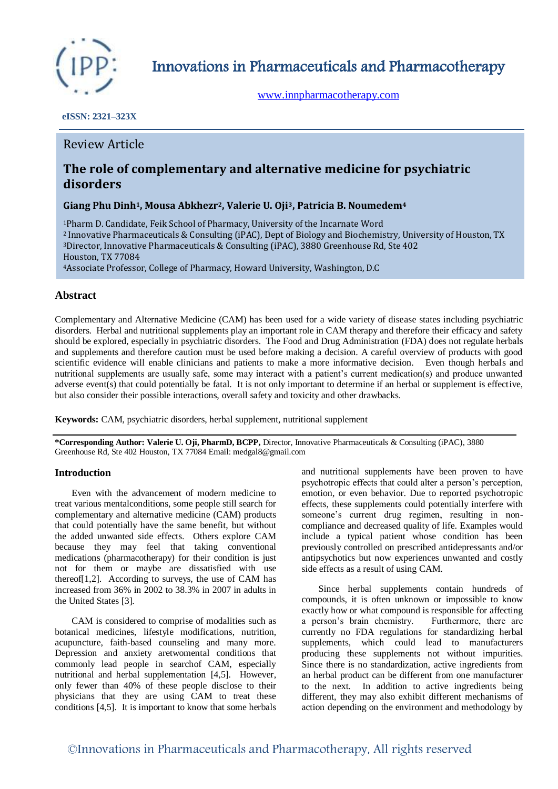

Innovations in Pharmaceuticals and Pharmacotherapy

[www.innpharmacotherapy.com](http://www.innpharmacotherapy.com/)

 **eISSN: 2321–323X**

## Review Article

# **The role of complementary and alternative medicine for psychiatric disorders**

#### **Giang Phu Dinh1, Mousa Abkhezr2, Valerie U. Oji3, Patricia B. Noumedem<sup>4</sup>**

Pharm D. Candidate, Feik School of Pharmacy, University of the Incarnate Word Innovative Pharmaceuticals & Consulting (iPAC), Dept of Biology and Biochemistry, University of Houston, TX Director, Innovative Pharmaceuticals & Consulting (iPAC), 3880 Greenhouse Rd, Ste 402 Houston, TX 77084 Associate Professor, College of Pharmacy, Howard University, Washington, D.C

### **Abstract**

Complementary and Alternative Medicine (CAM) has been used for a wide variety of disease states including psychiatric disorders. Herbal and nutritional supplements play an important role in CAM therapy and therefore their efficacy and safety should be explored, especially in psychiatric disorders. The Food and Drug Administration (FDA) does not regulate herbals and supplements and therefore caution must be used before making a decision. A careful overview of products with good scientific evidence will enable clinicians and patients to make a more informative decision. Even though herbals and nutritional supplements are usually safe, some may interact with a patient's current medication(s) and produce unwanted adverse event(s) that could potentially be fatal. It is not only important to determine if an herbal or supplement is effective, but also consider their possible interactions, overall safety and toxicity and other drawbacks.

**Keywords:** CAM, psychiatric disorders, herbal supplement, nutritional supplement

**\*Corresponding Author: Valerie U. Oji, PharmD, BCPP,** Director, Innovative Pharmaceuticals & Consulting (iPAC), 3880 Greenhouse Rd, Ste 402 Houston, TX 77084 Email: medgal8@gmail.com

#### **Introduction**

Even with the advancement of modern medicine to treat various mentalconditions, some people still search for complementary and alternative medicine (CAM) products that could potentially have the same benefit, but without the added unwanted side effects. Others explore CAM because they may feel that taking conventional medications (pharmacotherapy) for their condition is just not for them or maybe are dissatisfied with use thereof[1,2]. According to surveys, the use of CAM has increased from 36% in 2002 to 38.3% in 2007 in adults in the United States [3].

CAM is considered to comprise of modalities such as botanical medicines, lifestyle modifications, nutrition, acupuncture, faith-based counseling and many more. Depression and anxiety aretwomental conditions that commonly lead people in searchof CAM, especially nutritional and herbal supplementation [4,5]. However, only fewer than 40% of these people disclose to their physicians that they are using CAM to treat these conditions [4,5]. It is important to know that some herbals

and nutritional supplements have been proven to have psychotropic effects that could alter a person's perception, emotion, or even behavior. Due to reported psychotropic effects, these supplements could potentially interfere with someone's current drug regimen, resulting in noncompliance and decreased quality of life. Examples would include a typical patient whose condition has been previously controlled on prescribed antidepressants and/or antipsychotics but now experiences unwanted and costly side effects as a result of using CAM.

Since herbal supplements contain hundreds of compounds, it is often unknown or impossible to know exactly how or what compound is responsible for affecting a person's brain chemistry. Furthermore, there are currently no FDA regulations for standardizing herbal supplements, which could lead to manufacturers producing these supplements not without impurities. Since there is no standardization, active ingredients from an herbal product can be different from one manufacturer to the next. In addition to active ingredients being different, they may also exhibit different mechanisms of action depending on the environment and methodology by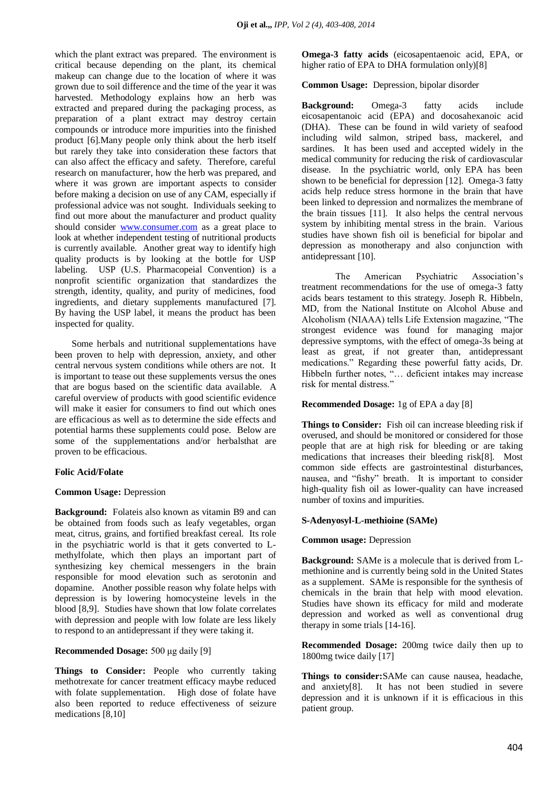which the plant extract was prepared. The environment is critical because depending on the plant, its chemical makeup can change due to the location of where it was grown due to soil difference and the time of the year it was harvested. Methodology explains how an herb was extracted and prepared during the packaging process, as preparation of a plant extract may destroy certain compounds or introduce more impurities into the finished product [6].Many people only think about the herb itself but rarely they take into consideration these factors that can also affect the efficacy and safety. Therefore, careful research on manufacturer, how the herb was prepared, and where it was grown are important aspects to consider before making a decision on use of any CAM, especially if professional advice was not sought. Individuals seeking to find out more about the manufacturer and product quality should consider [www.consumer.com](http://www.consumer.com/) as a great place to look at whether independent testing of nutritional products is currently available. Another great way to identify high quality products is by looking at the bottle for USP labeling. USP (U.S. Pharmacopeial Convention) is a nonprofit scientific organization that standardizes the strength, identity, quality, and purity of medicines, food ingredients, and dietary supplements manufactured [7]. By having the USP label, it means the product has been inspected for quality.

Some herbals and nutritional supplementations have been proven to help with depression, anxiety, and other central nervous system conditions while others are not. It is important to tease out these supplements versus the ones that are bogus based on the scientific data available. A careful overview of products with good scientific evidence will make it easier for consumers to find out which ones are efficacious as well as to determine the side effects and potential harms these supplements could pose. Below are some of the supplementations and/or herbalsthat are proven to be efficacious.

#### **Folic Acid/Folate**

#### **Common Usage:** Depression

**Background:** Folateis also known as vitamin B9 and can be obtained from foods such as leafy vegetables, organ meat, citrus, grains, and fortified breakfast cereal. Its role in the psychiatric world is that it gets converted to Lmethylfolate, which then plays an important part of synthesizing key chemical messengers in the brain responsible for mood elevation such as serotonin and dopamine. Another possible reason why folate helps with depression is by lowering homocysteine levels in the blood [8,9]. Studies have shown that low folate correlates with depression and people with low folate are less likely to respond to an antidepressant if they were taking it.

#### **Recommended Dosage:** 500 μg daily [9]

Things to Consider: People who currently taking methotrexate for cancer treatment efficacy maybe reduced with folate supplementation. High dose of folate have also been reported to reduce effectiveness of seizure medications [8,10]

**Omega-3 fatty acids** (eicosapentaenoic acid, EPA, or higher ratio of EPA to DHA formulation only)[8]

**Common Usage:** Depression, bipolar disorder

**Background:** Omega-3 fatty acids include eicosapentanoic acid (EPA) and docosahexanoic acid (DHA). These can be found in wild variety of seafood including wild salmon, striped bass, mackerel, and sardines. It has been used and accepted widely in the medical community for reducing the risk of cardiovascular disease. In the psychiatric world, only EPA has been shown to be beneficial for depression [12]. Omega-3 fatty acids help reduce stress hormone in the brain that have been linked to depression and normalizes the membrane of the brain tissues [11]. It also helps the central nervous system by inhibiting mental stress in the brain. Various studies have shown fish oil is beneficial for bipolar and depression as monotherapy and also conjunction with antidepressant [10].

The American Psychiatric Association's treatment recommendations for the use of omega-3 fatty acids bears testament to this strategy. Joseph R. Hibbeln, MD, from the National Institute on Alcohol Abuse and Alcoholism (NIAAA) tells Life Extension magazine, "The strongest evidence was found for managing major depressive symptoms, with the effect of omega-3s being at least as great, if not greater than, antidepressant medications.‖ Regarding these powerful fatty acids, Dr. Hibbeln further notes, "... deficient intakes may increase risk for mental distress."

#### **Recommended Dosage:** 1g of EPA a day [8]

**Things to Consider:** Fish oil can increase bleeding risk if overused, and should be monitored or considered for those people that are at high risk for bleeding or are taking medications that increases their bleeding risk[8]. Most common side effects are gastrointestinal disturbances, nausea, and "fishy" breath. It is important to consider high-quality fish oil as lower-quality can have increased number of toxins and impurities.

#### **S-Adenyosyl-L-methioine (SAMe)**

#### **Common usage:** Depression

**Background:** SAMe is a molecule that is derived from Lmethionine and is currently being sold in the United States as a supplement. SAMe is responsible for the synthesis of chemicals in the brain that help with mood elevation. Studies have shown its efficacy for mild and moderate depression and worked as well as conventional drug therapy in some trials [14-16].

**Recommended Dosage:** 200mg twice daily then up to 1800mg twice daily [17]

**Things to consider:**SAMe can cause nausea, headache, and anxiety[8]. It has not been studied in severe depression and it is unknown if it is efficacious in this patient group.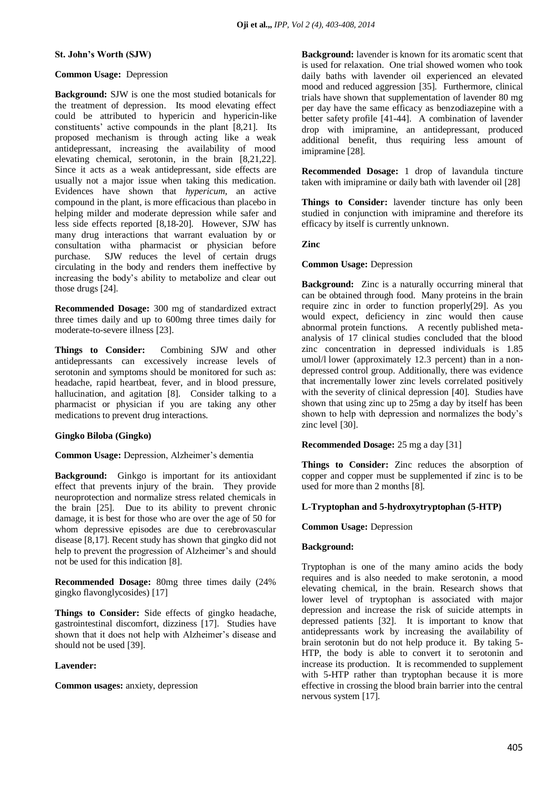#### **St. John's Worth (SJW)**

#### **Common Usage:** Depression

**Background:** SJW is one the most studied botanicals for the treatment of depression. Its mood elevating effect could be attributed to hypericin and hypericin-like constituents' active compounds in the plant [8,21]. Its proposed mechanism is through acting like a weak antidepressant, increasing the availability of mood elevating chemical, serotonin, in the brain [8,21,22]. Since it acts as a weak antidepressant, side effects are usually not a major issue when taking this medication. Evidences have shown that *hypericum*, an active compound in the plant, is more efficacious than placebo in helping milder and moderate depression while safer and less side effects reported [8,18-20]. However, SJW has many drug interactions that warrant evaluation by or consultation witha pharmacist or physician before purchase. SJW reduces the level of certain drugs circulating in the body and renders them ineffective by increasing the body's ability to metabolize and clear out those drugs [24].

**Recommended Dosage:** 300 mg of standardized extract three times daily and up to 600mg three times daily for moderate-to-severe illness [23].

**Things to Consider:** Combining SJW and other antidepressants can excessively increase levels of serotonin and symptoms should be monitored for such as: headache, rapid heartbeat, fever, and in blood pressure, hallucination, and agitation [8]. Consider talking to a pharmacist or physician if you are taking any other medications to prevent drug interactions.

#### **Gingko Biloba (Gingko)**

**Common Usage:** Depression, Alzheimer's dementia

**Background:** Ginkgo is important for its antioxidant effect that prevents injury of the brain. They provide neuroprotection and normalize stress related chemicals in the brain [25]. Due to its ability to prevent chronic damage, it is best for those who are over the age of 50 for whom depressive episodes are due to cerebrovascular disease [8,17]. Recent study has shown that gingko did not help to prevent the progression of Alzheimer's and should not be used for this indication [8].

**Recommended Dosage:** 80mg three times daily (24% gingko flavonglycosides) [17]

**Things to Consider:** Side effects of gingko headache, gastrointestinal discomfort, dizziness [17]. Studies have shown that it does not help with Alzheimer's disease and should not be used [39].

#### **Lavender:**

**Common usages:** anxiety, depression

**Background:** lavender is known for its aromatic scent that is used for relaxation. One trial showed women who took daily baths with lavender oil experienced an elevated mood and reduced aggression [35]. Furthermore, clinical trials have shown that supplementation of lavender 80 mg per day have the same efficacy as benzodiazepine with a better safety profile [41-44]. A combination of lavender drop with imipramine, an antidepressant, produced additional benefit, thus requiring less amount of imipramine [28].

**Recommended Dosage:** 1 drop of lavandula tincture taken with imipramine or daily bath with lavender oil [28]

**Things to Consider:** lavender tincture has only been studied in conjunction with imipramine and therefore its efficacy by itself is currently unknown.

#### **Zinc**

#### **Common Usage:** Depression

**Background:** Zinc is a naturally occurring mineral that can be obtained through food. Many proteins in the brain require zinc in order to function properly[29]. As you would expect, deficiency in zinc would then cause abnormal protein functions. A recently published metaanalysis of 17 clinical studies concluded that the blood zinc concentration in depressed individuals is 1.85 umol/l lower (approximately 12.3 percent) than in a nondepressed control group. Additionally, there was evidence that incrementally lower zinc levels correlated positively with the severity of clinical depression [40]. Studies have shown that using zinc up to 25mg a day by itself has been shown to help with depression and normalizes the body's zinc level [30].

#### **Recommended Dosage:** 25 mg a day [31]

**Things to Consider:** Zinc reduces the absorption of copper and copper must be supplemented if zinc is to be used for more than 2 months [8].

#### **L-Tryptophan and 5-hydroxytryptophan (5-HTP)**

#### **Common Usage:** Depression

#### **Background:**

Tryptophan is one of the many amino acids the body requires and is also needed to make serotonin, a mood elevating chemical, in the brain. Research shows that lower level of tryptophan is associated with major depression and increase the risk of suicide attempts in depressed patients [32]. It is important to know that antidepressants work by increasing the availability of brain serotonin but do not help produce it. By taking 5- HTP, the body is able to convert it to serotonin and increase its production. It is recommended to supplement with 5-HTP rather than tryptophan because it is more effective in crossing the blood brain barrier into the central nervous system [17].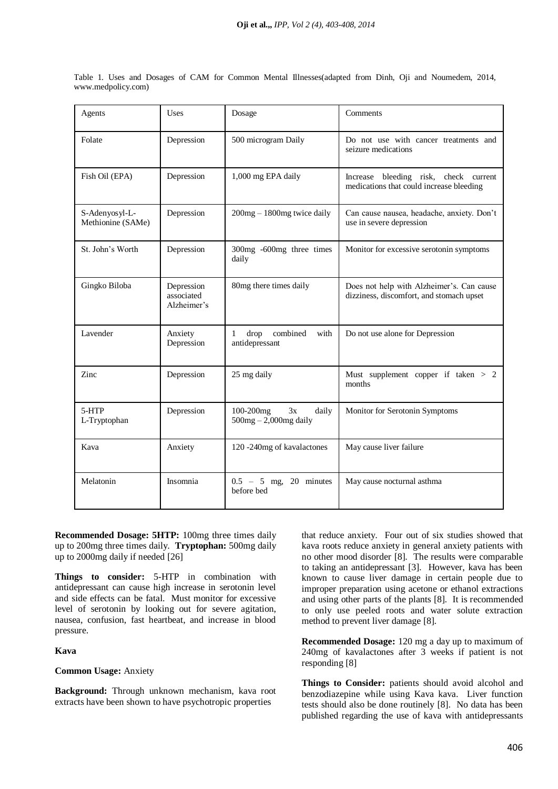|                    |  |  |  |  | Table 1. Uses and Dosages of CAM for Common Mental Illnesses (adapted from Dinh, Oji and Noumedem, 2014, |  |  |  |
|--------------------|--|--|--|--|----------------------------------------------------------------------------------------------------------|--|--|--|
| www.medpolicy.com) |  |  |  |  |                                                                                                          |  |  |  |

| Agents                              | Uses                                    | Dosage                                                     | Comments                                                                              |
|-------------------------------------|-----------------------------------------|------------------------------------------------------------|---------------------------------------------------------------------------------------|
| Folate                              | Depression                              | 500 microgram Daily                                        | Do not use with cancer treatments and<br>seizure medications                          |
| Fish Oil (EPA)                      | Depression                              | 1,000 mg EPA daily                                         | Increase bleeding risk, check current<br>medications that could increase bleeding     |
| S-Adenyosyl-L-<br>Methionine (SAMe) | Depression                              | 200mg - 1800mg twice daily                                 | Can cause nausea, headache, anxiety. Don't<br>use in severe depression                |
| St. John's Worth                    | Depression                              | 300mg -600mg three times<br>daily                          | Monitor for excessive serotonin symptoms                                              |
| Gingko Biloba                       | Depression<br>associated<br>Alzheimer's | 80mg there times daily                                     | Does not help with Alzheimer's. Can cause<br>dizziness, discomfort, and stomach upset |
| Lavender                            | Anxiety<br>Depression                   | drop<br>combined<br>with<br>$\mathbf{1}$<br>antidepressant | Do not use alone for Depression                                                       |
| Zinc                                | Depression                              | 25 mg daily                                                | Must supplement copper if taken $> 2$<br>months                                       |
| 5-HTP<br>L-Tryptophan               | Depression                              | 100-200mg<br>3x<br>daily<br>$500mg - 2,000mg$ daily        | Monitor for Serotonin Symptoms                                                        |
| Kava                                | Anxiety                                 | 120 -240mg of kavalactones                                 | May cause liver failure                                                               |
| Melatonin                           | Insomnia                                | $0.5 - 5$ mg, 20 minutes<br>before bed                     | May cause nocturnal asthma                                                            |

**Recommended Dosage: 5HTP:** 100mg three times daily up to 200mg three times daily. **Tryptophan:** 500mg daily up to 2000mg daily if needed [26]

**Things to consider:** 5-HTP in combination with antidepressant can cause high increase in serotonin level and side effects can be fatal. Must monitor for excessive level of serotonin by looking out for severe agitation, nausea, confusion, fast heartbeat, and increase in blood pressure.

#### **Kava**

#### **Common Usage:** Anxiety

**Background:** Through unknown mechanism, kava root extracts have been shown to have psychotropic properties

that reduce anxiety. Four out of six studies showed that kava roots reduce anxiety in general anxiety patients with no other mood disorder [8]. The results were comparable to taking an antidepressant [3]. However, kava has been known to cause liver damage in certain people due to improper preparation using acetone or ethanol extractions and using other parts of the plants [8]. It is recommended to only use peeled roots and water solute extraction method to prevent liver damage [8].

**Recommended Dosage:** 120 mg a day up to maximum of 240mg of kavalactones after 3 weeks if patient is not responding [8]

**Things to Consider:** patients should avoid alcohol and benzodiazepine while using Kava kava. Liver function tests should also be done routinely [8]. No data has been published regarding the use of kava with antidepressants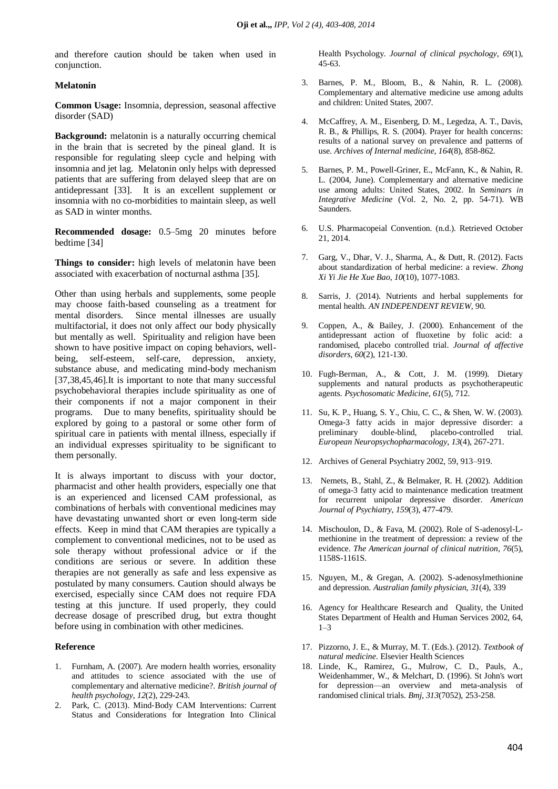and therefore caution should be taken when used in conjunction.

#### **Melatonin**

**Common Usage:** Insomnia, depression, seasonal affective disorder (SAD)

**Background:** melatonin is a naturally occurring chemical in the brain that is secreted by the pineal gland. It is responsible for regulating sleep cycle and helping with insomnia and jet lag. Melatonin only helps with depressed patients that are suffering from delayed sleep that are on antidepressant [33]. It is an excellent supplement or insomnia with no co-morbidities to maintain sleep, as well as SAD in winter months.

**Recommended dosage:** 0.5–5mg 20 minutes before bedtime [34]

**Things to consider:** high levels of melatonin have been associated with exacerbation of nocturnal asthma [35].

Other than using herbals and supplements, some people may choose faith-based counseling as a treatment for mental disorders. Since mental illnesses are usually multifactorial, it does not only affect our body physically but mentally as well. Spirituality and religion have been shown to have positive impact on coping behaviors, wellbeing, self-esteem, self-care, depression, anxiety, substance abuse, and medicating mind-body mechanism [37,38,45,46].It is important to note that many successful psychobehavioral therapies include spirituality as one of their components if not a major component in their programs. Due to many benefits, spirituality should be explored by going to a pastoral or some other form of spiritual care in patients with mental illness, especially if an individual expresses spirituality to be significant to them personally.

It is always important to discuss with your doctor, pharmacist and other health providers, especially one that is an experienced and licensed CAM professional, as combinations of herbals with conventional medicines may have devastating unwanted short or even long-term side effects. Keep in mind that CAM therapies are typically a complement to conventional medicines, not to be used as sole therapy without professional advice or if the conditions are serious or severe. In addition these therapies are not generally as safe and less expensive as postulated by many consumers. Caution should always be exercised, especially since CAM does not require FDA testing at this juncture. If used properly, they could decrease dosage of prescribed drug, but extra thought before using in combination with other medicines.

#### **Reference**

- 1. Furnham, A. (2007). Are modern health worries, ersonality and attitudes to science associated with the use of complementary and alternative medicine?. *British journal of health psychology*, *12*(2), 229-243.
- 2. Park, C. (2013). Mind‐Body CAM Interventions: Current Status and Considerations for Integration Into Clinical

Health Psychology. *Journal of clinical psychology*, *69*(1), 45-63.

- 3. Barnes, P. M., Bloom, B., & Nahin, R. L. (2008). Complementary and alternative medicine use among adults and children: United States, 2007.
- 4. McCaffrey, A. M., Eisenberg, D. M., Legedza, A. T., Davis, R. B., & Phillips, R. S. (2004). Prayer for health concerns: results of a national survey on prevalence and patterns of use. *Archives of Internal medicine*, *164*(8), 858-862.
- 5. Barnes, P. M., Powell-Griner, E., McFann, K., & Nahin, R. L. (2004, June). Complementary and alternative medicine use among adults: United States, 2002. In *Seminars in Integrative Medicine* (Vol. 2, No. 2, pp. 54-71). WB Saunders.
- 6. U.S. Pharmacopeial Convention. (n.d.). Retrieved October 21, 2014.
- 7. Garg, V., Dhar, V. J., Sharma, A., & Dutt, R. (2012). Facts about standardization of herbal medicine: a review. *Zhong Xi Yi Jie He Xue Bao*, *10*(10), 1077-1083.
- 8. Sarris, J. (2014). Nutrients and herbal supplements for mental health. *AN INDEPENDENT REVIEW*, 90.
- 9. Coppen, A., & Bailey, J. (2000). Enhancement of the antidepressant action of fluoxetine by folic acid: a randomised, placebo controlled trial. *Journal of affective disorders*, *60*(2), 121-130.
- 10. Fugh-Berman, A., & Cott, J. M. (1999). Dietary supplements and natural products as psychotherapeutic agents. *Psychosomatic Medicine*, *61*(5), 712.
- 11. Su, K. P., Huang, S. Y., Chiu, C. C., & Shen, W. W. (2003). Omega-3 fatty acids in major depressive disorder: a preliminary double-blind, placebo-controlled trial. *European Neuropsychopharmacology*, *13*(4), 267-271.
- 12. Archives of General Psychiatry 2002, 59, 913–919.
- 13. Nemets, B., Stahl, Z., & Belmaker, R. H. (2002). Addition of omega-3 fatty acid to maintenance medication treatment for recurrent unipolar depressive disorder. *American Journal of Psychiatry*, *159*(3), 477-479.
- 14. Mischoulon, D., & Fava, M. (2002). Role of S-adenosyl-Lmethionine in the treatment of depression: a review of the evidence. *The American journal of clinical nutrition*, *76*(5), 1158S-1161S.
- 15. Nguyen, M., & Gregan, A. (2002). S-adenosylmethionine and depression. *Australian family physician*, *31*(4), 339
- 16. Agency for Healthcare Research and Quality, the United States Department of Health and Human Services 2002, 64,  $1 - 3$
- 17. Pizzorno, J. E., & Murray, M. T. (Eds.). (2012). *Textbook of natural medicine*. Elsevier Health Sciences
- 18. Linde, K., Ramirez, G., Mulrow, C. D., Pauls, A., Weidenhammer, W., & Melchart, D. (1996). St John's wort for depression—an overview and meta-analysis of randomised clinical trials. *Bmj*, *313*(7052), 253-258.